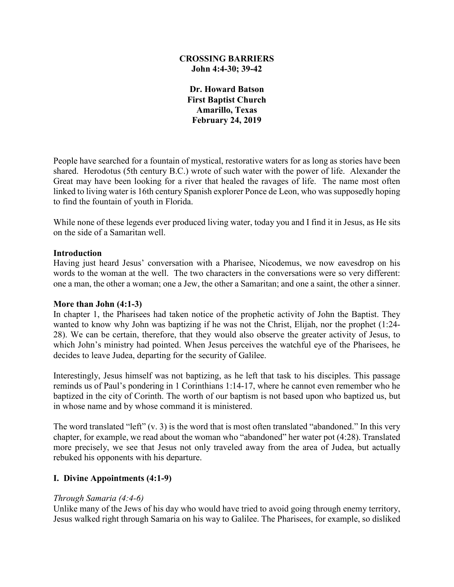### **CROSSING BARRIERS John 4:4-30; 39-42**

**Dr. Howard Batson First Baptist Church Amarillo, Texas February 24, 2019**

People have searched for a fountain of mystical, restorative waters for as long as stories have been shared. Herodotus (5th century B.C.) wrote of such water with the power of life. Alexander the Great may have been looking for a river that healed the ravages of life. The name most often linked to living water is 16th century Spanish explorer Ponce de Leon, who was supposedly hoping to find the fountain of youth in Florida.

While none of these legends ever produced living water, today you and I find it in Jesus, as He sits on the side of a Samaritan well.

### **Introduction**

Having just heard Jesus' conversation with a Pharisee, Nicodemus, we now eavesdrop on his words to the woman at the well. The two characters in the conversations were so very different: one a man, the other a woman; one a Jew, the other a Samaritan; and one a saint, the other a sinner.

#### **More than John (4:1-3)**

In chapter 1, the Pharisees had taken notice of the prophetic activity of John the Baptist. They wanted to know why John was baptizing if he was not the Christ, Elijah, nor the prophet (1:24- 28). We can be certain, therefore, that they would also observe the greater activity of Jesus, to which John's ministry had pointed. When Jesus perceives the watchful eye of the Pharisees, he decides to leave Judea, departing for the security of Galilee.

Interestingly, Jesus himself was not baptizing, as he left that task to his disciples. This passage reminds us of Paul's pondering in 1 Corinthians 1:14-17, where he cannot even remember who he baptized in the city of Corinth. The worth of our baptism is not based upon who baptized us, but in whose name and by whose command it is ministered.

The word translated "left" (v. 3) is the word that is most often translated "abandoned." In this very chapter, for example, we read about the woman who "abandoned" her water pot (4:28). Translated more precisely, we see that Jesus not only traveled away from the area of Judea, but actually rebuked his opponents with his departure.

### **I. Divine Appointments (4:1-9)**

### *Through Samaria (4:4-6)*

Unlike many of the Jews of his day who would have tried to avoid going through enemy territory, Jesus walked right through Samaria on his way to Galilee. The Pharisees, for example, so disliked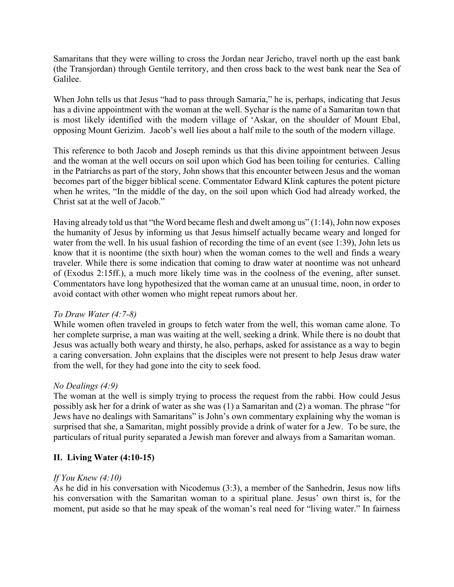Samaritans that they were willing to cross the Jordan near Jericho, travel north up the east bank (the Transjordan) through Gentile territory, and then cross back to the west bank near the Sea of Galilee.

When John tells us that Jesus "had to pass through Samaria," he is, perhaps, indicating that Jesus has a divine appointment with the woman at the well. Sychar is the name of a Samaritan town that is most likely identified with the modern village of 'Askar, on the shoulder of Mount Ebal, opposing Mount Gerizim. Jacob's well lies about a half mile to the south of the modern village.

This reference to both Jacob and Joseph reminds us that this divine appointment between Jesus and the woman at the well occurs on soil upon which God has been toiling for centuries. Calling in the Patriarchs as part of the story, John shows that this encounter between Jesus and the woman becomes part of the bigger biblical scene. Commentator Edward Klink captures the potent picture when he writes, "In the middle of the day, on the soil upon which God had already worked, the Christ sat at the well of Jacob."

Having already told us that "the Word became flesh and dwelt among us" (1:14), John now exposes the humanity of Jesus by informing us that Jesus himself actually became weary and longed for water from the well. In his usual fashion of recording the time of an event (see 1:39), John lets us know that it is noontime (the sixth hour) when the woman comes to the well and finds a weary traveler. While there is some indication that coming to draw water at noontime was not unheard of (Exodus 2:15ff.), a much more likely time was in the coolness of the evening, after sunset. Commentators have long hypothesized that the woman came at an unusual time, noon, in order to avoid contact with other women who might repeat rumors about her.

### *To Draw Water (4:7-8)*

While women often traveled in groups to fetch water from the well, this woman came alone. To her complete surprise, a man was waiting at the well, seeking a drink. While there is no doubt that Jesus was actually both weary and thirsty, he also, perhaps, asked for assistance as a way to begin a caring conversation. John explains that the disciples were not present to help Jesus draw water from the well, for they had gone into the city to seek food.

# *No Dealings (4:9)*

The woman at the well is simply trying to process the request from the rabbi. How could Jesus possibly ask her for a drink of water as she was (1) a Samaritan and (2) a woman. The phrase "for Jews have no dealings with Samaritans" is John's own commentary explaining why the woman is surprised that she, a Samaritan, might possibly provide a drink of water for a Jew. To be sure, the particulars of ritual purity separated a Jewish man forever and always from a Samaritan woman.

# **II. Living Water (4:10-15)**

### *If You Knew (4:10)*

As he did in his conversation with Nicodemus (3:3), a member of the Sanhedrin, Jesus now lifts his conversation with the Samaritan woman to a spiritual plane. Jesus' own thirst is, for the moment, put aside so that he may speak of the woman's real need for "living water." In fairness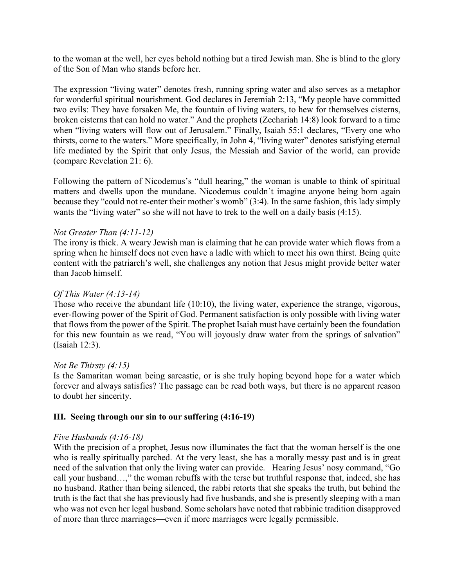to the woman at the well, her eyes behold nothing but a tired Jewish man. She is blind to the glory of the Son of Man who stands before her.

The expression "living water" denotes fresh, running spring water and also serves as a metaphor for wonderful spiritual nourishment. God declares in Jeremiah 2:13, "My people have committed two evils: They have forsaken Me, the fountain of living waters, to hew for themselves cisterns, broken cisterns that can hold no water." And the prophets (Zechariah 14:8) look forward to a time when "living waters will flow out of Jerusalem." Finally, Isaiah 55:1 declares, "Every one who thirsts, come to the waters." More specifically, in John 4, "living water" denotes satisfying eternal life mediated by the Spirit that only Jesus, the Messiah and Savior of the world, can provide (compare Revelation 21: 6).

Following the pattern of Nicodemus's "dull hearing," the woman is unable to think of spiritual matters and dwells upon the mundane. Nicodemus couldn't imagine anyone being born again because they "could not re-enter their mother's womb" (3:4). In the same fashion, this lady simply wants the "living water" so she will not have to trek to the well on a daily basis (4:15).

# *Not Greater Than (4:11-12)*

The irony is thick. A weary Jewish man is claiming that he can provide water which flows from a spring when he himself does not even have a ladle with which to meet his own thirst. Being quite content with the patriarch's well, she challenges any notion that Jesus might provide better water than Jacob himself.

## *Of This Water (4:13-14)*

Those who receive the abundant life (10:10), the living water, experience the strange, vigorous, ever-flowing power of the Spirit of God. Permanent satisfaction is only possible with living water that flows from the power of the Spirit. The prophet Isaiah must have certainly been the foundation for this new fountain as we read, "You will joyously draw water from the springs of salvation" (Isaiah 12:3).

### *Not Be Thirsty (4:15)*

Is the Samaritan woman being sarcastic, or is she truly hoping beyond hope for a water which forever and always satisfies? The passage can be read both ways, but there is no apparent reason to doubt her sincerity.

### **III. Seeing through our sin to our suffering (4:16-19)**

### *Five Husbands (4:16-18)*

With the precision of a prophet, Jesus now illuminates the fact that the woman herself is the one who is really spiritually parched. At the very least, she has a morally messy past and is in great need of the salvation that only the living water can provide. Hearing Jesus' nosy command, "Go call your husband…," the woman rebuffs with the terse but truthful response that, indeed, she has no husband. Rather than being silenced, the rabbi retorts that she speaks the truth, but behind the truth is the fact that she has previously had five husbands, and she is presently sleeping with a man who was not even her legal husband. Some scholars have noted that rabbinic tradition disapproved of more than three marriages—even if more marriages were legally permissible.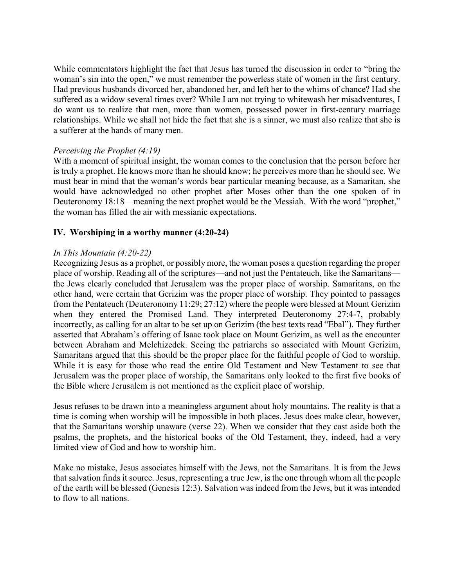While commentators highlight the fact that Jesus has turned the discussion in order to "bring the woman's sin into the open," we must remember the powerless state of women in the first century. Had previous husbands divorced her, abandoned her, and left her to the whims of chance? Had she suffered as a widow several times over? While I am not trying to whitewash her misadventures, I do want us to realize that men, more than women, possessed power in first-century marriage relationships. While we shall not hide the fact that she is a sinner, we must also realize that she is a sufferer at the hands of many men.

### *Perceiving the Prophet (4:19)*

With a moment of spiritual insight, the woman comes to the conclusion that the person before her is truly a prophet. He knows more than he should know; he perceives more than he should see. We must bear in mind that the woman's words bear particular meaning because, as a Samaritan, she would have acknowledged no other prophet after Moses other than the one spoken of in Deuteronomy 18:18—meaning the next prophet would be the Messiah. With the word "prophet," the woman has filled the air with messianic expectations.

### **IV. Worshiping in a worthy manner (4:20-24)**

### *In This Mountain (4:20-22)*

Recognizing Jesus as a prophet, or possibly more, the woman poses a question regarding the proper place of worship. Reading all of the scriptures—and not just the Pentateuch, like the Samaritans the Jews clearly concluded that Jerusalem was the proper place of worship. Samaritans, on the other hand, were certain that Gerizim was the proper place of worship. They pointed to passages from the Pentateuch (Deuteronomy 11:29; 27:12) where the people were blessed at Mount Gerizim when they entered the Promised Land. They interpreted Deuteronomy 27:4-7, probably incorrectly, as calling for an altar to be set up on Gerizim (the best texts read "Ebal"). They further asserted that Abraham's offering of Isaac took place on Mount Gerizim, as well as the encounter between Abraham and Melchizedek. Seeing the patriarchs so associated with Mount Gerizim, Samaritans argued that this should be the proper place for the faithful people of God to worship. While it is easy for those who read the entire Old Testament and New Testament to see that Jerusalem was the proper place of worship, the Samaritans only looked to the first five books of the Bible where Jerusalem is not mentioned as the explicit place of worship.

Jesus refuses to be drawn into a meaningless argument about holy mountains. The reality is that a time is coming when worship will be impossible in both places. Jesus does make clear, however, that the Samaritans worship unaware (verse 22). When we consider that they cast aside both the psalms, the prophets, and the historical books of the Old Testament, they, indeed, had a very limited view of God and how to worship him.

Make no mistake, Jesus associates himself with the Jews, not the Samaritans. It is from the Jews that salvation finds it source. Jesus, representing a true Jew, is the one through whom all the people of the earth will be blessed (Genesis 12:3). Salvation was indeed from the Jews, but it was intended to flow to all nations.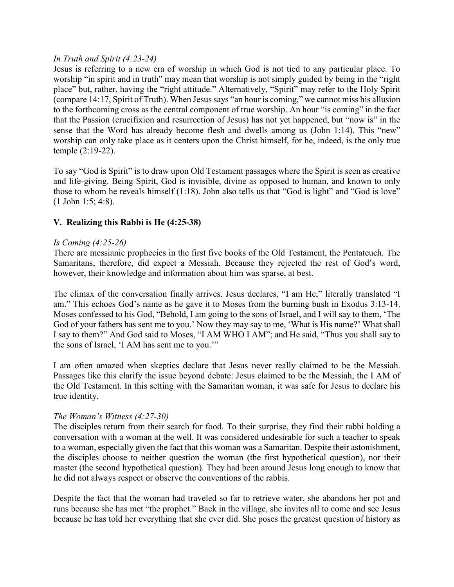## *In Truth and Spirit (4:23-24)*

Jesus is referring to a new era of worship in which God is not tied to any particular place. To worship "in spirit and in truth" may mean that worship is not simply guided by being in the "right place" but, rather, having the "right attitude." Alternatively, "Spirit" may refer to the Holy Spirit (compare 14:17, Spirit of Truth). When Jesus says "an hour is coming," we cannot miss his allusion to the forthcoming cross as the central component of true worship. An hour "is coming" in the fact that the Passion (crucifixion and resurrection of Jesus) has not yet happened, but "now is" in the sense that the Word has already become flesh and dwells among us (John 1:14). This "new" worship can only take place as it centers upon the Christ himself, for he, indeed, is the only true temple (2:19-22).

To say "God is Spirit" is to draw upon Old Testament passages where the Spirit is seen as creative and life-giving. Being Spirit, God is invisible, divine as opposed to human, and known to only those to whom he reveals himself (1:18). John also tells us that "God is light" and "God is love" (1 John 1:5; 4:8).

# **V. Realizing this Rabbi is He (4:25-38)**

### *Is Coming (4:25-26)*

There are messianic prophecies in the first five books of the Old Testament, the Pentateuch. The Samaritans, therefore, did expect a Messiah. Because they rejected the rest of God's word, however, their knowledge and information about him was sparse, at best.

The climax of the conversation finally arrives. Jesus declares, "I am He," literally translated "I am." This echoes God's name as he gave it to Moses from the burning bush in Exodus 3:13-14. Moses confessed to his God, "Behold, I am going to the sons of Israel, and I will say to them, 'The God of your fathers has sent me to you.' Now they may say to me, 'What is His name?' What shall I say to them?" And God said to Moses, "I AM WHO I AM"; and He said, "Thus you shall say to the sons of Israel, 'I AM has sent me to you.'"

I am often amazed when skeptics declare that Jesus never really claimed to be the Messiah. Passages like this clarify the issue beyond debate: Jesus claimed to be the Messiah, the I AM of the Old Testament. In this setting with the Samaritan woman, it was safe for Jesus to declare his true identity.

### *The Woman's Witness (4:27-30)*

The disciples return from their search for food. To their surprise, they find their rabbi holding a conversation with a woman at the well. It was considered undesirable for such a teacher to speak to a woman, especially given the fact that this woman was a Samaritan. Despite their astonishment, the disciples choose to neither question the woman (the first hypothetical question), nor their master (the second hypothetical question). They had been around Jesus long enough to know that he did not always respect or observe the conventions of the rabbis.

Despite the fact that the woman had traveled so far to retrieve water, she abandons her pot and runs because she has met "the prophet." Back in the village, she invites all to come and see Jesus because he has told her everything that she ever did. She poses the greatest question of history as